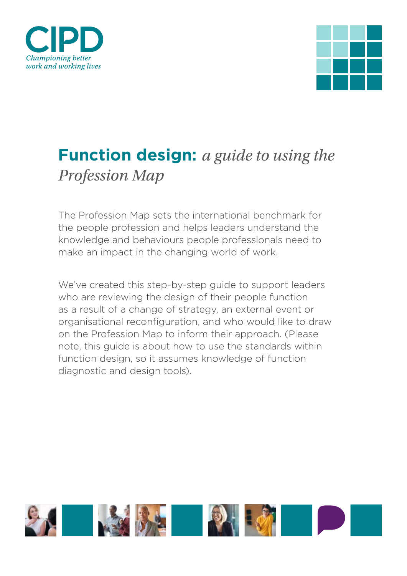



# **Function design:** *a guide to using the Profession Map*

The Profession Map sets the international benchmark for the people profession and helps leaders understand the knowledge and behaviours people professionals need to make an impact in the changing world of work.

We've created this step-by-step guide to support leaders who are reviewing the design of their people function as a result of a change of strategy, an external event or organisational reconfiguration, and who would like to draw on the Profession Map to inform their approach. (Please note, this guide is about how to use the standards within function design, so it assumes knowledge of function diagnostic and design tools).

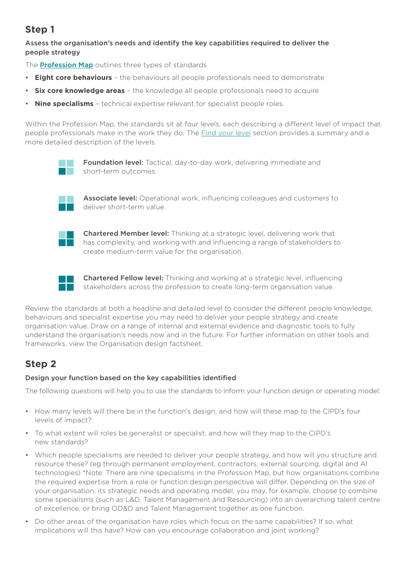## **Step 1**

### Assess the organisation's needs and identify the key capabilities required to deliver the people strategy

The **Prof[ession Map](https://peopleprofession.cipd.org/profession-map)** outlines three types of standards

- **Eight core behaviours** the behaviours all people professionals need to demonstrate
- **Six core knowledge areas** the knowledge all people professionals need to acquire
- **Nine specialisms** technical expertise relevant for specialist people roles.

Within the Profession Map, the standards sit at four levels, each describing a different level of impact that people professionals make in the work they do. [The Find your level](https://peopleprofession.cipd.org/find-your-level) section provides a summary and a more detailed description of the levels.



Foundation level: Tactical, day-to-day work, delivering immediate and short-term outcomes.



Associate level: Operational work, influencing colleagues and customers to deliver short-term value.



Chartered Member level: Thinking at a strategic level, delivering work that has complexity, and working with and influencing a range of stakeholders to create medium-term value for the organisation.



Chartered Fellow level: Thinking and working at a strategic level, influencing stakeholders across the profession to create long-term organisation value.

Review the standards at both a headline and detailed level to consider the different people knowledge, behaviours and specialist expertise you may need to deliver your people strategy and create organisation value. Draw on a range of internal and external evidence and diagnostic tools to fully understand the organisation's needs now and in the future. For further information on other tools and frameworks, view the Organisation design factsheet.

## **Step 2**

#### Design your function based on the key capabilities identified

The following questions will help you to use the standards to inform your function design or operating model:

- How many levels will there be in the function's design, and how will these map to the CIPD's four levels of impact?
- To what extent will roles be generalist or specialist, and how will they map to the CIPD's new standards?
- Which people specialisms are needed to deliver your people strategy, and how will you structure and resource these? (eg through permanent employment, contractors, external sourcing, digital and AI technologies) \*Note: There are nine specialisms in the Profession Map, but how organisations combine the required expertise from a role or function design perspective will differ. Depending on the size of your organisation, its strategic needs and operating model, you may, for example, choose to combine some specialisms (such as L&D, Talent Management and Resourcing) into an overarching talent centre of excellence, or bring OD&D and Talent Management together as one function.
- Do other areas of the organisation have roles which focus on the same capabilities? If so, what implications will this have? How can you encourage collaboration and joint working?